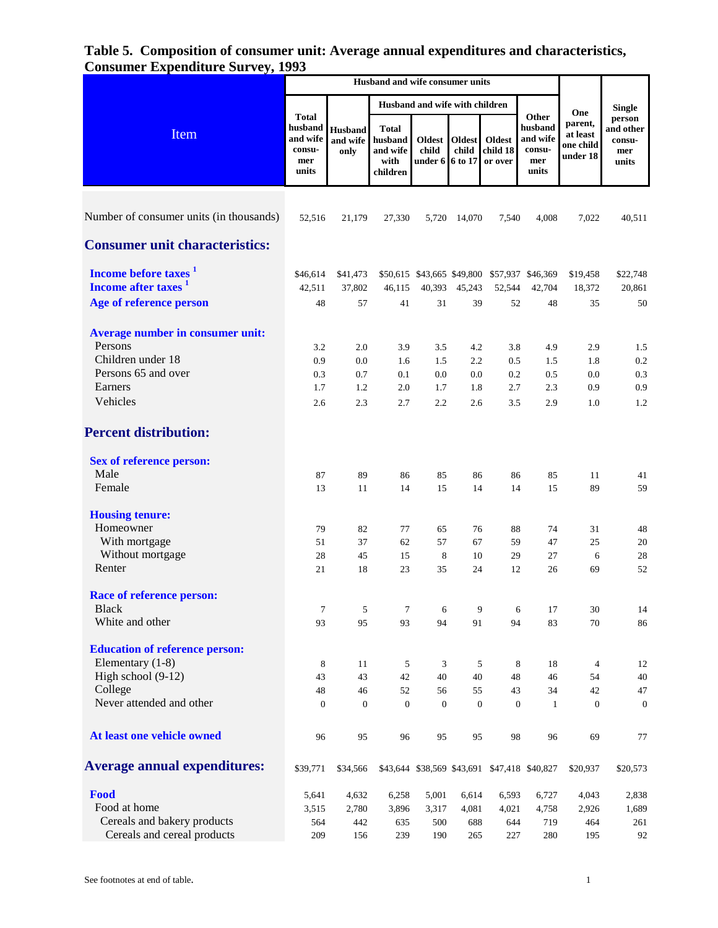## **Table 5. Composition of consumer unit: Average annual expenditures and characteristics, Consumer Expenditure Survey, 1993**

|                                         | Husband and wife consumer units                               |                                    |                                                         |                                   |                                   |                                      |                                                        |                                                     |                                               |
|-----------------------------------------|---------------------------------------------------------------|------------------------------------|---------------------------------------------------------|-----------------------------------|-----------------------------------|--------------------------------------|--------------------------------------------------------|-----------------------------------------------------|-----------------------------------------------|
|                                         |                                                               |                                    |                                                         | Husband and wife with children    |                                   |                                      |                                                        |                                                     | <b>Single</b>                                 |
| Item                                    | <b>Total</b><br>husband<br>and wife<br>consu-<br>mer<br>units | <b>Husband</b><br>and wife<br>only | <b>Total</b><br>husband<br>and wife<br>with<br>children | <b>Oldest</b><br>child<br>under 6 | <b>Oldest</b><br>child<br>6 to 17 | <b>Oldest</b><br>child 18<br>or over | Other<br>husband<br>and wife<br>consu-<br>mer<br>units | One<br>parent,<br>at least<br>one child<br>under 18 | person<br>and other<br>consu-<br>mer<br>units |
|                                         |                                                               |                                    |                                                         |                                   |                                   |                                      |                                                        |                                                     |                                               |
| Number of consumer units (in thousands) | 52,516                                                        | 21,179                             | 27,330                                                  | 5,720                             | 14,070                            | 7,540                                | 4,008                                                  | 7,022                                               | 40.511                                        |
| <b>Consumer unit characteristics:</b>   |                                                               |                                    |                                                         |                                   |                                   |                                      |                                                        |                                                     |                                               |
| Income before taxes <sup>1</sup>        | \$46,614                                                      | \$41,473                           |                                                         |                                   |                                   |                                      | \$50,615 \$43,665 \$49,800 \$57,937 \$46,369           | \$19,458                                            | \$22,748                                      |
| Income after taxes <sup>1</sup>         | 42,511                                                        | 37,802                             | 46,115                                                  | 40,393                            | 45,243                            | 52,544                               | 42,704                                                 | 18,372                                              | 20,861                                        |
| Age of reference person                 | 48                                                            | 57                                 | 41                                                      | 31                                | 39                                | 52                                   | 48                                                     | 35                                                  | 50                                            |
| Average number in consumer unit:        |                                                               |                                    |                                                         |                                   |                                   |                                      |                                                        |                                                     |                                               |
| Persons                                 | 3.2                                                           | 2.0                                | 3.9                                                     | 3.5                               | 4.2                               | 3.8                                  | 4.9                                                    | 2.9                                                 | 1.5                                           |
| Children under 18                       | 0.9                                                           | $0.0\,$                            | 1.6                                                     | 1.5                               | 2.2                               | 0.5                                  | 1.5                                                    | 1.8                                                 | 0.2                                           |
| Persons 65 and over                     | 0.3                                                           | 0.7                                | 0.1                                                     | 0.0                               | 0.0                               | 0.2                                  | 0.5                                                    | 0.0                                                 | 0.3                                           |
| Earners                                 | 1.7                                                           | 1.2                                | 2.0                                                     | 1.7                               | 1.8                               | 2.7                                  | 2.3                                                    | 0.9                                                 | 0.9                                           |
| Vehicles                                | 2.6                                                           | 2.3                                | 2.7                                                     | 2.2                               | 2.6                               | 3.5                                  | 2.9                                                    | 1.0                                                 | 1.2                                           |
| <b>Percent distribution:</b>            |                                                               |                                    |                                                         |                                   |                                   |                                      |                                                        |                                                     |                                               |
| <b>Sex of reference person:</b>         |                                                               |                                    |                                                         |                                   |                                   |                                      |                                                        |                                                     |                                               |
| Male                                    | 87                                                            | 89                                 | 86                                                      | 85                                | 86                                | 86                                   | 85                                                     | 11                                                  | 41                                            |
| Female                                  | 13                                                            | 11                                 | 14                                                      | 15                                | 14                                | 14                                   | 15                                                     | 89                                                  | 59                                            |
| <b>Housing tenure:</b>                  |                                                               |                                    |                                                         |                                   |                                   |                                      |                                                        |                                                     |                                               |
| Homeowner                               | 79                                                            | 82                                 | 77                                                      | 65                                | 76                                | 88                                   | 74                                                     | 31                                                  | 48                                            |
| With mortgage                           | 51                                                            | 37                                 | 62                                                      | 57                                | 67                                | 59                                   | 47                                                     | 25                                                  | 20                                            |
| Without mortgage                        | 28                                                            | 45                                 | 15                                                      | 8                                 | 10                                | 29                                   | 27                                                     | 6                                                   | 28                                            |
| Renter                                  | 21                                                            | 18                                 | 23                                                      | 35                                | 24                                | 12                                   | 26                                                     | 69                                                  | 52                                            |
| <b>Race of reference person:</b>        |                                                               |                                    |                                                         |                                   |                                   |                                      |                                                        |                                                     |                                               |
| <b>Black</b>                            | $\tau$                                                        | 5                                  | $\tau$                                                  | 6                                 | 9                                 |                                      | 17<br>6                                                | 30                                                  | 14                                            |
| White and other                         | 93                                                            | 95                                 | 93                                                      | 94                                | 91                                | 94                                   | 83                                                     | 70                                                  | 86                                            |
| <b>Education of reference person:</b>   |                                                               |                                    |                                                         |                                   |                                   |                                      |                                                        |                                                     |                                               |
| Elementary (1-8)                        | 8                                                             | 11                                 | 5                                                       | 3                                 | 5                                 | 8                                    | 18                                                     | 4                                                   | 12                                            |
| High school (9-12)                      | 43                                                            | 43                                 | 42                                                      | 40                                | 40                                | 48                                   | 46                                                     | 54                                                  | 40                                            |
| College                                 | 48                                                            | 46                                 | 52                                                      | 56                                | 55                                | 43                                   | 34                                                     | 42                                                  | 47                                            |
| Never attended and other                | $\mathbf{0}$                                                  | $\boldsymbol{0}$                   | $\boldsymbol{0}$                                        | $\mathbf{0}$                      | $\boldsymbol{0}$                  | $\boldsymbol{0}$                     | $\mathbf{1}$                                           | $\overline{0}$                                      | $\mathbf{0}$                                  |
| At least one vehicle owned              | 96                                                            | 95                                 | 96                                                      | 95                                | 95                                | 98                                   | 96                                                     | 69                                                  | 77                                            |
| <b>Average annual expenditures:</b>     | \$39,771                                                      | \$34,566                           |                                                         |                                   |                                   |                                      | \$43,644 \$38,569 \$43,691 \$47,418 \$40,827           | \$20,937                                            | \$20,573                                      |
| Food                                    | 5,641                                                         | 4,632                              | 6,258                                                   | 5,001                             | 6,614                             | 6,593                                | 6,727                                                  | 4,043                                               | 2,838                                         |
| Food at home                            | 3,515                                                         | 2,780                              | 3,896                                                   | 3,317                             | 4,081                             | 4,021                                | 4,758                                                  | 2,926                                               | 1,689                                         |
| Cereals and bakery products             | 564                                                           | 442                                | 635                                                     | 500                               | 688                               | 644                                  | 719                                                    | 464                                                 | 261                                           |
| Cereals and cereal products             | 209                                                           | 156                                | 239                                                     | 190                               | 265                               | 227                                  | 280                                                    | 195                                                 | 92                                            |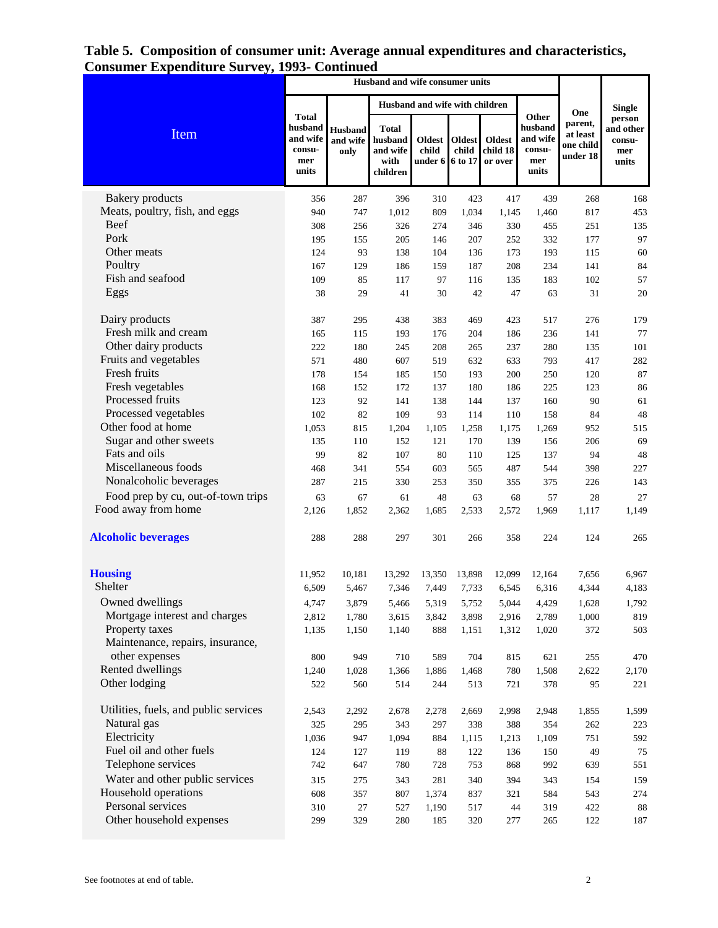| enuitui c oui vej ș                   | 1, s v                                        |                                    |                                                         |                                                    |                 |                               |                                               |                                              |                                               |
|---------------------------------------|-----------------------------------------------|------------------------------------|---------------------------------------------------------|----------------------------------------------------|-----------------|-------------------------------|-----------------------------------------------|----------------------------------------------|-----------------------------------------------|
|                                       | Husband and wife with children                |                                    |                                                         |                                                    |                 |                               |                                               |                                              | <b>Single</b>                                 |
|                                       | <b>Total</b>                                  |                                    |                                                         |                                                    |                 |                               | Other                                         | One                                          |                                               |
| Item                                  | husband<br>and wife<br>consu-<br>mer<br>units | <b>Husband</b><br>and wife<br>only | <b>Total</b><br>husband<br>and wife<br>with<br>children | Oldest<br>child<br>under $6 \mid 6 \text{ to } 17$ | Oldest<br>child | Oldest<br>child 18<br>or over | husband<br>and wife<br>consu-<br>mer<br>units | parent,<br>at least<br>one child<br>under 18 | person<br>and other<br>consu-<br>mer<br>units |
| <b>Bakery</b> products                | 356                                           | 287                                | 396                                                     | 310                                                | 423             | 417                           | 439                                           | 268                                          | 168                                           |
| Meats, poultry, fish, and eggs        | 940                                           | 747                                | 1,012                                                   | 809                                                | 1,034           | 1,145                         | 1,460                                         | 817                                          | 453                                           |
| Beef                                  | 308                                           | 256                                | 326                                                     | 274                                                | 346             | 330                           | 455                                           | 251                                          | 135                                           |
| Pork                                  | 195                                           | 155                                | 205                                                     | 146                                                | 207             | 252                           | 332                                           | 177                                          | 97                                            |
| Other meats                           | 124                                           | 93                                 | 138                                                     | 104                                                | 136             | 173                           | 193                                           | 115                                          | 60                                            |
| Poultry                               | 167                                           | 129                                | 186                                                     | 159                                                | 187             | 208                           | 234                                           | 141                                          | 84                                            |
| Fish and seafood                      | 109                                           | 85                                 | 117                                                     | 97                                                 | 116             | 135                           | 183                                           | 102                                          | 57                                            |
| Eggs                                  | 38                                            | 29                                 | 41                                                      | 30                                                 | 42              | 47                            | 63                                            | 31                                           | 20                                            |
| Dairy products                        | 387                                           | 295                                | 438                                                     | 383                                                | 469             | 423                           | 517                                           | 276                                          | 179                                           |
| Fresh milk and cream                  | 165                                           | 115                                | 193                                                     | 176                                                | 204             | 186                           | 236                                           | 141                                          | 77                                            |
| Other dairy products                  | 222                                           | 180                                | 245                                                     | 208                                                | 265             | 237                           | 280                                           | 135                                          | 101                                           |
| Fruits and vegetables                 | 571                                           | 480                                | 607                                                     | 519                                                | 632             | 633                           | 793                                           | 417                                          | 282                                           |
| Fresh fruits                          | 178                                           | 154                                | 185                                                     | 150                                                | 193             | 200                           | 250                                           | 120                                          | 87                                            |
| Fresh vegetables                      | 168                                           | 152                                | 172                                                     | 137                                                | 180             | 186                           | 225                                           | 123                                          | 86                                            |
| Processed fruits                      | 123                                           | 92                                 | 141                                                     | 138                                                | 144             | 137                           | 160                                           | 90                                           | 61                                            |
| Processed vegetables                  | 102                                           | 82                                 | 109                                                     | 93                                                 | 114             | 110                           | 158                                           | 84                                           | 48                                            |
| Other food at home                    | 1,053                                         | 815                                | 1,204                                                   | 1,105                                              | 1,258           | 1,175                         | 1,269                                         | 952                                          | 515                                           |
| Sugar and other sweets                | 135                                           | 110                                | 152                                                     | 121                                                | 170             | 139                           | 156                                           | 206                                          | 69                                            |
| Fats and oils                         | 99                                            | 82                                 | 107                                                     | 80                                                 | 110             | 125                           | 137                                           | 94                                           | 48                                            |
| Miscellaneous foods                   | 468                                           | 341                                | 554                                                     | 603                                                | 565             | 487                           | 544                                           | 398                                          | 227                                           |
| Nonalcoholic beverages                | 287                                           | 215                                | 330                                                     | 253                                                | 350             | 355                           | 375                                           | 226                                          | 143                                           |
| Food prep by cu, out-of-town trips    | 63                                            | 67                                 | 61                                                      | 48                                                 | 63              | 68                            | 57                                            | 28                                           | 27                                            |
| Food away from home                   | 2,126                                         | 1,852                              | 2,362                                                   | 1,685                                              | 2,533           | 2,572                         | 1,969                                         | 1,117                                        | 1,149                                         |
| <b>Alcoholic beverages</b>            | 288                                           | 288                                | 297                                                     | 301                                                | 266             | 358                           | 224                                           | 124                                          | 265                                           |
| <b>Housing</b>                        | 11,952                                        | 10,181                             | 13,292                                                  | 13,350                                             | 13,898          | 12,099                        | 12,164                                        | 7,656                                        | 6,967                                         |
| Shelter                               | 6,509                                         | 5,467                              | 7,346                                                   | 7,449                                              | 7,733           | 6,545                         | 6,316                                         | 4,344                                        | 4,183                                         |
| Owned dwellings                       | 4,747                                         | 3,879                              | 5,466                                                   | 5,319                                              | 5,752           | 5,044                         | 4,429                                         | 1,628                                        | 1,792                                         |
| Mortgage interest and charges         | 2,812                                         | 1,780                              | 3,615                                                   | 3,842                                              | 3,898           | 2,916                         | 2,789                                         | 1,000                                        | 819                                           |
| Property taxes                        | 1,135                                         | 1,150                              | 1,140                                                   | 888                                                | 1,151           | 1,312                         | 1,020                                         | 372                                          | 503                                           |
| Maintenance, repairs, insurance,      |                                               |                                    |                                                         |                                                    |                 |                               |                                               |                                              |                                               |
| other expenses                        | 800                                           | 949                                | 710                                                     | 589                                                | 704             | 815                           | 621                                           | 255                                          | 470                                           |
| Rented dwellings                      | 1,240                                         | 1,028                              | 1,366                                                   | 1,886                                              | 1,468           | 780                           | 1,508                                         | 2,622                                        | 2,170                                         |
| Other lodging                         | 522                                           | 560                                | 514                                                     | 244                                                | 513             | 721                           | 378                                           | 95                                           | 221                                           |
| Utilities, fuels, and public services | 2,543                                         | 2,292                              | 2,678                                                   | 2,278                                              | 2,669           | 2,998                         | 2,948                                         | 1,855                                        | 1,599                                         |
| Natural gas                           | 325                                           | 295                                | 343                                                     | 297                                                | 338             | 388                           | 354                                           | 262                                          | 223                                           |
| Electricity                           | 1,036                                         | 947                                | 1,094                                                   | 884                                                | 1,115           | 1,213                         | 1,109                                         | 751                                          | 592                                           |
| Fuel oil and other fuels              | 124                                           | 127                                | 119                                                     | 88                                                 | 122             | 136                           | 150                                           | 49                                           | 75                                            |
| Telephone services                    | 742                                           | 647                                | 780                                                     | 728                                                | 753             | 868                           | 992                                           | 639                                          | 551                                           |
| Water and other public services       | 315                                           | 275                                | 343                                                     | 281                                                | 340             | 394                           | 343                                           | 154                                          | 159                                           |
| Household operations                  | 608                                           | 357                                | 807                                                     | 1,374                                              | 837             | 321                           | 584                                           | 543                                          | 274                                           |
| Personal services                     | 310                                           | $27\,$                             | 527                                                     | 1,190                                              | 517             | 44                            | 319                                           | 422                                          | 88                                            |
| Other household expenses              | 299                                           | 329                                | 280                                                     | 185                                                | 320             | 277                           | 265                                           | 122                                          | 187                                           |

## **Table 5. Composition of consumer unit: Average annual expenditures and characteristics, Consumer Expenditure Survey, 1993- Continued**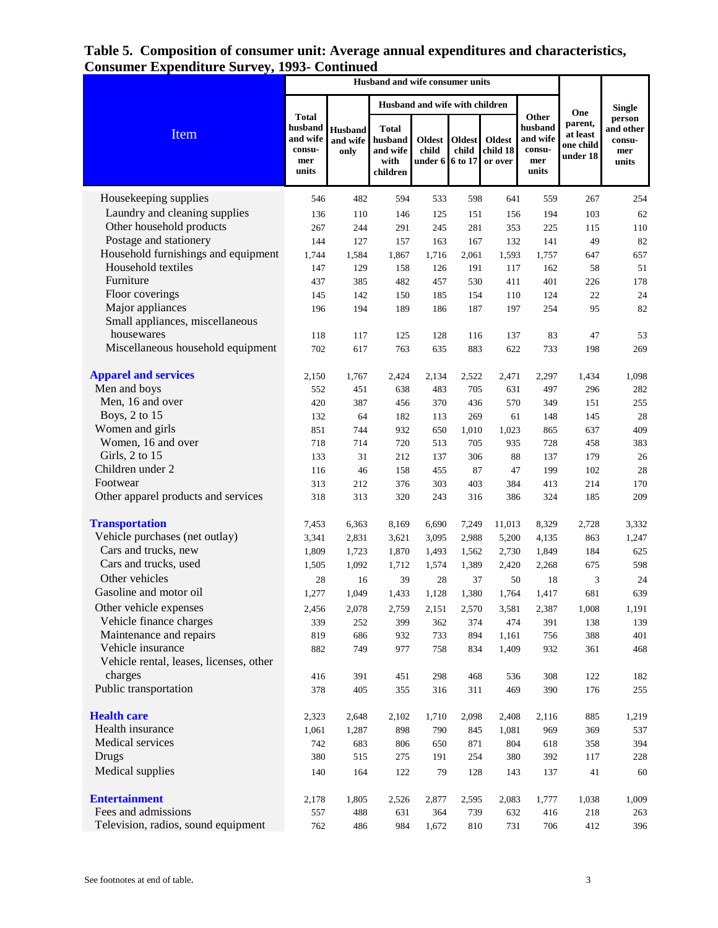## **Table 5. Composition of consumer unit: Average annual expenditures and characteristics, Consumer Expenditure Survey, 1993- Continued**

|                                         | <b>Husband and wife consumer units</b>                        |                                    |                                                         |                                   |                                   |                                      |                                                        |                                                     |                                                                |
|-----------------------------------------|---------------------------------------------------------------|------------------------------------|---------------------------------------------------------|-----------------------------------|-----------------------------------|--------------------------------------|--------------------------------------------------------|-----------------------------------------------------|----------------------------------------------------------------|
|                                         |                                                               |                                    |                                                         | Husband and wife with children    |                                   |                                      |                                                        |                                                     |                                                                |
| Item                                    | <b>Total</b><br>husband<br>and wife<br>consu-<br>mer<br>units | <b>Husband</b><br>and wife<br>only | <b>Total</b><br>husband<br>and wife<br>with<br>children | <b>Oldest</b><br>child<br>under 6 | <b>Oldest</b><br>child<br>6 to 17 | <b>Oldest</b><br>child 18<br>or over | Other<br>husband<br>and wife<br>consu-<br>mer<br>units | One<br>parent,<br>at least<br>one child<br>under 18 | <b>Single</b><br>person<br>and other<br>consu-<br>mer<br>units |
| Housekeeping supplies                   | 546                                                           | 482                                | 594                                                     | 533                               | 598                               | 641                                  | 559                                                    | 267                                                 | 254                                                            |
| Laundry and cleaning supplies           | 136                                                           | 110                                | 146                                                     | 125                               | 151                               | 156                                  | 194                                                    | 103                                                 | 62                                                             |
| Other household products                | 267                                                           | 244                                | 291                                                     | 245                               | 281                               | 353                                  | 225                                                    | 115                                                 | 110                                                            |
| Postage and stationery                  | 144                                                           | 127                                | 157                                                     | 163                               | 167                               | 132                                  | 141                                                    | 49                                                  | 82                                                             |
| Household furnishings and equipment     | 1,744                                                         | 1,584                              | 1,867                                                   | 1,716                             | 2,061                             | 1,593                                | 1,757                                                  | 647                                                 | 657                                                            |
| Household textiles                      | 147                                                           | 129                                | 158                                                     | 126                               | 191                               | 117                                  | 162                                                    | 58                                                  | 51                                                             |
| Furniture                               | 437                                                           | 385                                | 482                                                     | 457                               | 530                               | 411                                  | 401                                                    | 226                                                 | 178                                                            |
| Floor coverings                         | 145                                                           | 142                                | 150                                                     | 185                               | 154                               | 110                                  | 124                                                    | 22                                                  | 24                                                             |
| Major appliances                        | 196                                                           | 194                                | 189                                                     | 186                               | 187                               | 197                                  | 254                                                    | 95                                                  | 82                                                             |
| Small appliances, miscellaneous         |                                                               |                                    |                                                         |                                   |                                   |                                      |                                                        |                                                     |                                                                |
| housewares                              | 118                                                           | 117                                | 125                                                     | 128                               | 116                               | 137                                  | 83                                                     | 47                                                  | 53                                                             |
| Miscellaneous household equipment       | 702                                                           | 617                                | 763                                                     | 635                               | 883                               | 622                                  | 733                                                    | 198                                                 | 269                                                            |
| <b>Apparel and services</b>             | 2,150                                                         | 1,767                              | 2,424                                                   | 2,134                             | 2,522                             | 2,471                                | 2,297                                                  | 1,434                                               | 1,098                                                          |
| Men and boys                            | 552                                                           | 451                                | 638                                                     | 483                               | 705                               | 631                                  | 497                                                    | 296                                                 | 282                                                            |
| Men, 16 and over                        | 420                                                           | 387                                | 456                                                     | 370                               | 436                               | 570                                  | 349                                                    | 151                                                 | 255                                                            |
| Boys, 2 to 15                           | 132                                                           | 64                                 | 182                                                     | 113                               | 269                               | 61                                   | 148                                                    | 145                                                 | 28                                                             |
| Women and girls                         | 851                                                           | 744                                | 932                                                     | 650                               | 1,010                             | 1,023                                | 865                                                    | 637                                                 | 409                                                            |
| Women, 16 and over                      | 718                                                           | 714                                | 720                                                     | 513                               | 705                               | 935                                  | 728                                                    | 458                                                 | 383                                                            |
| Girls, 2 to 15                          | 133                                                           | 31                                 | 212                                                     | 137                               | 306                               | 88                                   | 137                                                    | 179                                                 | 26                                                             |
| Children under 2                        | 116                                                           | 46                                 | 158                                                     | 455                               | 87                                | 47                                   | 199                                                    | 102                                                 | 28                                                             |
| Footwear                                | 313                                                           | 212                                | 376                                                     | 303                               | 403                               | 384                                  | 413                                                    | 214                                                 | 170                                                            |
| Other apparel products and services     | 318                                                           | 313                                | 320                                                     | 243                               | 316                               | 386                                  | 324                                                    | 185                                                 | 209                                                            |
| <b>Transportation</b>                   | 7,453                                                         | 6,363                              | 8,169                                                   | 6,690                             | 7,249                             | 11,013                               | 8,329                                                  | 2,728                                               | 3,332                                                          |
| Vehicle purchases (net outlay)          | 3,341                                                         | 2,831                              | 3,621                                                   | 3,095                             | 2,988                             | 5,200                                | 4,135                                                  | 863                                                 | 1,247                                                          |
| Cars and trucks, new                    | 1,809                                                         | 1,723                              | 1,870                                                   | 1,493                             | 1,562                             | 2,730                                | 1,849                                                  | 184                                                 | 625                                                            |
| Cars and trucks, used                   | 1,505                                                         | 1,092                              | 1,712                                                   | 1,574                             | 1,389                             | 2,420                                | 2,268                                                  | 675                                                 | 598                                                            |
| Other vehicles                          | 28                                                            | 16                                 | 39                                                      | 28                                | 37                                | 50                                   | 18                                                     | 3                                                   | 24                                                             |
| Gasoline and motor oil                  | 1,277                                                         | 1,049                              | 1,433                                                   | 1,128                             | 1,380                             | 1,764                                | 1,417                                                  | 681                                                 | 639                                                            |
| Other vehicle expenses                  | 2,456                                                         | 2,078                              | 2,759                                                   | 2,151                             | 2,570                             | 3,581                                | 2,387                                                  | 1,008                                               | 1,191                                                          |
| Vehicle finance charges                 | 339                                                           | 252                                | 399                                                     | 362                               | 374                               | 474                                  | 391                                                    | 138                                                 | 139                                                            |
| Maintenance and repairs                 | 819                                                           | 686                                | 932                                                     | 733                               | 894                               | 1,161                                | 756                                                    | 388                                                 | 401                                                            |
| Vehicle insurance                       | 882                                                           | 749                                | 977                                                     | 758                               | 834                               | 1,409                                | 932                                                    | 361                                                 | 468                                                            |
| Vehicle rental, leases, licenses, other |                                                               |                                    |                                                         |                                   |                                   |                                      |                                                        |                                                     |                                                                |
| charges                                 | 416                                                           | 391                                | 451                                                     | 298                               | 468                               | 536                                  | 308                                                    | 122                                                 | 182                                                            |
| Public transportation                   | 378                                                           | 405                                | 355                                                     | 316                               | 311                               | 469                                  | 390                                                    | 176                                                 | 255                                                            |
| <b>Health care</b>                      | 2,323                                                         | 2,648                              | 2,102                                                   | 1,710                             | 2,098                             | 2,408                                | 2,116                                                  | 885                                                 | 1,219                                                          |
| Health insurance                        | 1,061                                                         | 1,287                              | 898                                                     | 790                               | 845                               | 1,081                                | 969                                                    | 369                                                 | 537                                                            |
| Medical services                        | 742                                                           | 683                                | 806                                                     | 650                               | 871                               | 804                                  | 618                                                    | 358                                                 | 394                                                            |
| Drugs                                   | 380                                                           | 515                                | 275                                                     | 191                               | 254                               | 380                                  | 392                                                    | 117                                                 | 228                                                            |
| Medical supplies                        | 140                                                           | 164                                | 122                                                     | 79                                | 128                               | 143                                  | 137                                                    | 41                                                  | 60                                                             |
| <b>Entertainment</b>                    | 2,178                                                         | 1,805                              | 2,526                                                   | 2,877                             | 2,595                             | 2,083                                | 1,777                                                  | 1,038                                               | 1,009                                                          |
| Fees and admissions                     | 557                                                           | 488                                | 631                                                     | 364                               | 739                               | 632                                  | 416                                                    | 218                                                 | 263                                                            |
| Television, radios, sound equipment     | 762                                                           | 486                                | 984                                                     | 1,672                             | 810                               | 731                                  | 706                                                    | 412                                                 | 396                                                            |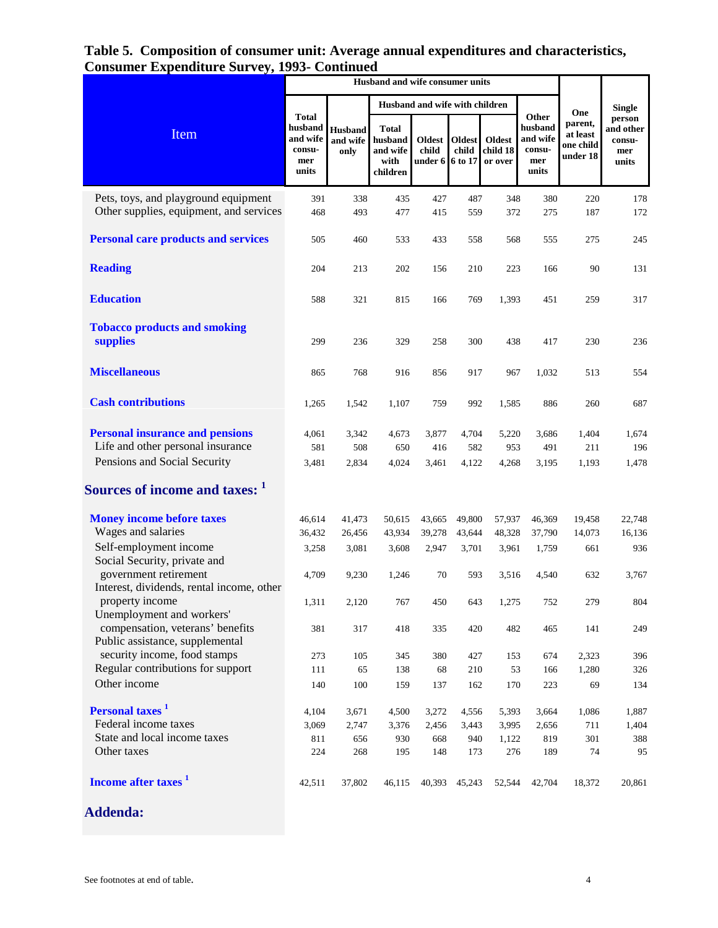## **Table 5. Composition of consumer unit: Average annual expenditures and characteristics, Consumer Expenditure Survey, 1993- Continued**

|                                                                   |                                                               |                                    |                                                         | Husband and wife with children            |                        |                                      |                                                        |                                                     | <b>Single</b>                                 |
|-------------------------------------------------------------------|---------------------------------------------------------------|------------------------------------|---------------------------------------------------------|-------------------------------------------|------------------------|--------------------------------------|--------------------------------------------------------|-----------------------------------------------------|-----------------------------------------------|
| Item                                                              | <b>Total</b><br>husband<br>and wife<br>consu-<br>mer<br>units | <b>Husband</b><br>and wife<br>only | <b>Total</b><br>husband<br>and wife<br>with<br>children | <b>Oldest</b><br>child<br>under 6 6 to 17 | <b>Oldest</b><br>child | <b>Oldest</b><br>child 18<br>or over | Other<br>husband<br>and wife<br>consu-<br>mer<br>units | One<br>parent,<br>at least<br>one child<br>under 18 | person<br>and other<br>consu-<br>mer<br>units |
| Pets, toys, and playground equipment                              | 391                                                           | 338                                | 435                                                     | 427                                       | 487                    | 348                                  | 380                                                    | 220                                                 | 178                                           |
| Other supplies, equipment, and services                           | 468                                                           | 493                                | 477                                                     | 415                                       | 559                    | 372                                  | 275                                                    | 187                                                 | 172                                           |
|                                                                   |                                                               |                                    |                                                         |                                           |                        |                                      |                                                        |                                                     |                                               |
| <b>Personal care products and services</b>                        | 505                                                           | 460                                | 533                                                     | 433                                       | 558                    | 568                                  | 555                                                    | 275                                                 | 245                                           |
|                                                                   |                                                               |                                    |                                                         |                                           |                        |                                      |                                                        |                                                     |                                               |
| <b>Reading</b>                                                    | 204                                                           | 213                                | 202                                                     | 156                                       | 210                    | 223                                  | 166                                                    | 90                                                  | 131                                           |
|                                                                   |                                                               |                                    |                                                         |                                           |                        |                                      |                                                        |                                                     |                                               |
| <b>Education</b>                                                  | 588                                                           | 321                                | 815                                                     | 166                                       | 769                    | 1,393                                | 451                                                    | 259                                                 | 317                                           |
|                                                                   |                                                               |                                    |                                                         |                                           |                        |                                      |                                                        |                                                     |                                               |
| <b>Tobacco products and smoking</b>                               |                                                               |                                    |                                                         |                                           |                        |                                      |                                                        |                                                     |                                               |
| supplies                                                          | 299                                                           | 236                                | 329                                                     | 258                                       | 300                    | 438                                  | 417                                                    | 230                                                 | 236                                           |
|                                                                   |                                                               |                                    |                                                         |                                           |                        |                                      |                                                        |                                                     |                                               |
| <b>Miscellaneous</b>                                              | 865                                                           | 768                                | 916                                                     | 856                                       | 917                    | 967                                  | 1,032                                                  | 513                                                 | 554                                           |
|                                                                   |                                                               |                                    |                                                         |                                           |                        |                                      |                                                        |                                                     |                                               |
| <b>Cash contributions</b>                                         | 1,265                                                         | 1,542                              | 1,107                                                   | 759                                       | 992                    | 1,585                                | 886                                                    | 260                                                 | 687                                           |
|                                                                   |                                                               |                                    |                                                         |                                           |                        |                                      |                                                        |                                                     |                                               |
| <b>Personal insurance and pensions</b>                            | 4,061                                                         | 3,342                              | 4,673                                                   | 3,877                                     | 4,704                  | 5,220                                | 3,686                                                  | 1,404                                               | 1,674                                         |
| Life and other personal insurance                                 | 581                                                           | 508                                | 650                                                     | 416                                       | 582                    | 953                                  | 491                                                    | 211                                                 | 196                                           |
| Pensions and Social Security                                      | 3,481                                                         | 2,834                              | 4,024                                                   | 3,461                                     | 4,122                  | 4,268                                | 3,195                                                  | 1,193                                               | 1,478                                         |
|                                                                   |                                                               |                                    |                                                         |                                           |                        |                                      |                                                        |                                                     |                                               |
| Sources of income and taxes: 1                                    |                                                               |                                    |                                                         |                                           |                        |                                      |                                                        |                                                     |                                               |
|                                                                   |                                                               |                                    |                                                         |                                           |                        |                                      |                                                        |                                                     |                                               |
| <b>Money income before taxes</b>                                  | 46,614                                                        | 41,473                             | 50,615                                                  | 43,665                                    | 49,800                 | 57,937                               | 46,369                                                 | 19,458                                              | 22,748                                        |
| Wages and salaries                                                | 36,432                                                        | 26,456                             | 43,934                                                  | 39,278                                    | 43,644                 | 48,328                               | 37,790                                                 | 14,073                                              | 16,136                                        |
| Self-employment income                                            | 3,258                                                         | 3,081                              | 3,608                                                   | 2,947                                     | 3,701                  | 3,961                                | 1,759                                                  | 661                                                 | 936                                           |
| Social Security, private and                                      |                                                               |                                    |                                                         |                                           |                        |                                      |                                                        |                                                     |                                               |
| government retirement                                             | 4,709                                                         | 9,230                              | 1,246                                                   | 70                                        | 593                    | 3,516                                | 4,540                                                  | 632                                                 | 3,767                                         |
| Interest, dividends, rental income, other                         |                                                               |                                    |                                                         |                                           |                        |                                      |                                                        |                                                     |                                               |
| property income                                                   | 1,311                                                         | 2,120                              | 767                                                     | 450                                       | 643                    | 1,275                                | 752                                                    | 279                                                 | 804                                           |
| Unemployment and workers'                                         |                                                               |                                    |                                                         |                                           |                        |                                      |                                                        |                                                     |                                               |
| compensation, veterans' benefits                                  | 381                                                           | 317                                | 418                                                     | 335                                       | 420                    | 482                                  | 465                                                    | 141                                                 | 249                                           |
| Public assistance, supplemental                                   |                                                               |                                    |                                                         |                                           |                        |                                      |                                                        |                                                     |                                               |
| security income, food stamps<br>Regular contributions for support | 273                                                           | 105                                | 345                                                     | 380                                       | 427                    | 153                                  | 674                                                    | 2,323                                               | 396                                           |
|                                                                   | 111                                                           | 65                                 | 138                                                     | 68                                        | 210                    | 53                                   | 166                                                    | 1,280                                               | 326                                           |
| Other income                                                      | 140                                                           | 100                                | 159                                                     | 137                                       | 162                    | 170                                  | 223                                                    | 69                                                  | 134                                           |
| Personal taxes <sup>1</sup>                                       | 4,104                                                         | 3,671                              | 4,500                                                   | 3,272                                     | 4,556                  | 5,393                                | 3,664                                                  | 1,086                                               | 1,887                                         |
| Federal income taxes                                              | 3,069                                                         | 2,747                              | 3,376                                                   | 2,456                                     | 3,443                  | 3,995                                | 2,656                                                  | 711                                                 | 1,404                                         |
| State and local income taxes                                      | 811                                                           | 656                                | 930                                                     | 668                                       | 940                    | 1,122                                | 819                                                    | 301                                                 | 388                                           |
| Other taxes                                                       | 224                                                           | 268                                | 195                                                     | 148                                       | 173                    | 276                                  | 189                                                    | 74                                                  | 95                                            |
|                                                                   |                                                               |                                    |                                                         |                                           |                        |                                      |                                                        |                                                     |                                               |
| Income after taxes <sup>1</sup>                                   | 42,511                                                        | 37,802                             | 46,115                                                  |                                           | 40,393 45,243          | 52,544                               | 42,704                                                 | 18,372                                              | 20,861                                        |
|                                                                   |                                                               |                                    |                                                         |                                           |                        |                                      |                                                        |                                                     |                                               |
| <b>Addenda:</b>                                                   |                                                               |                                    |                                                         |                                           |                        |                                      |                                                        |                                                     |                                               |